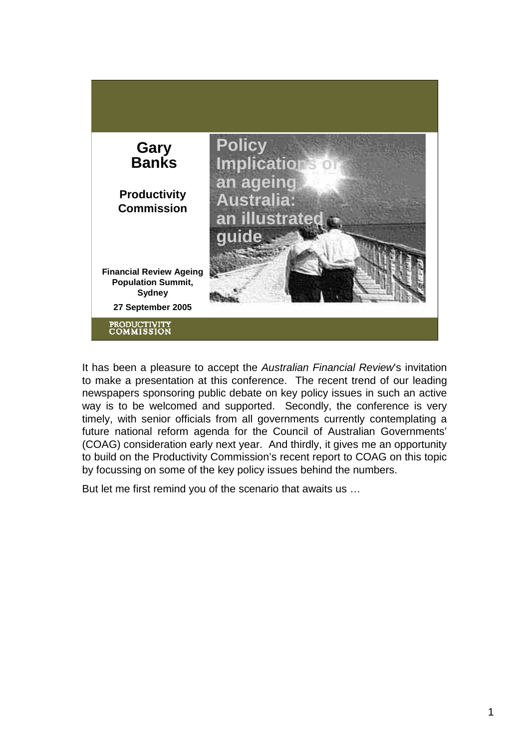

It has been a pleasure to accept the *Australian Financial Review*'s invitation to make a presentation at this conference. The recent trend of our leading newspapers sponsoring public debate on key policy issues in such an active way is to be welcomed and supported. Secondly, the conference is very timely, with senior officials from all governments currently contemplating a future national reform agenda for the Council of Australian Governments' (COAG) consideration early next year. And thirdly, it gives me an opportunity to build on the Productivity Commission's recent report to COAG on this topic by focussing on some of the key policy issues behind the numbers.

But let me first remind you of the scenario that awaits us …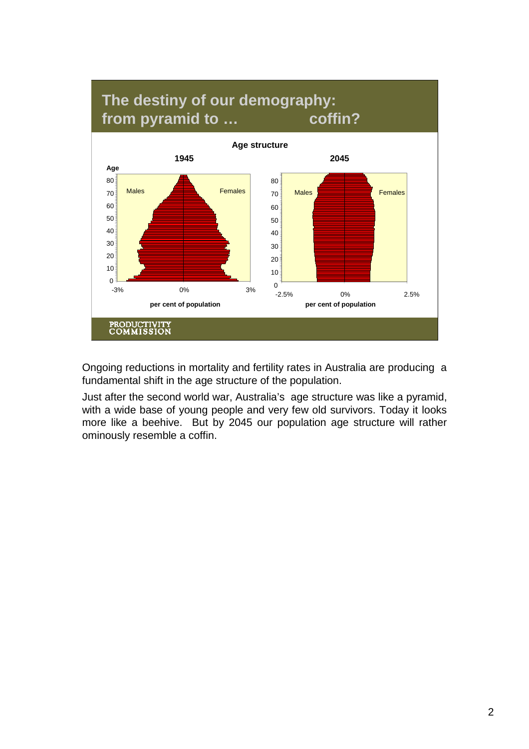

Ongoing reductions in mortality and fertility rates in Australia are producing a fundamental shift in the age structure of the population.

Just after the second world war, Australia's age structure was like a pyramid, with a wide base of young people and very few old survivors. Today it looks more like a beehive. But by 2045 our population age structure will rather ominously resemble a coffin.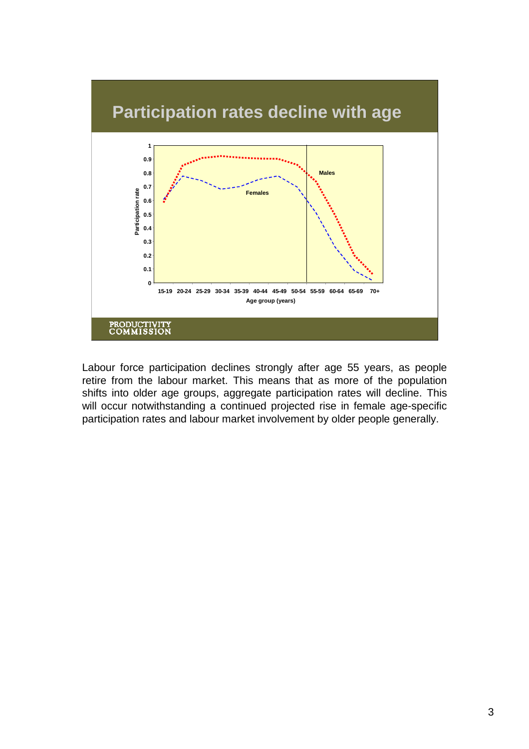

Labour force participation declines strongly after age 55 years, as people retire from the labour market. This means that as more of the population shifts into older age groups, aggregate participation rates will decline. This will occur notwithstanding a continued projected rise in female age-specific participation rates and labour market involvement by older people generally.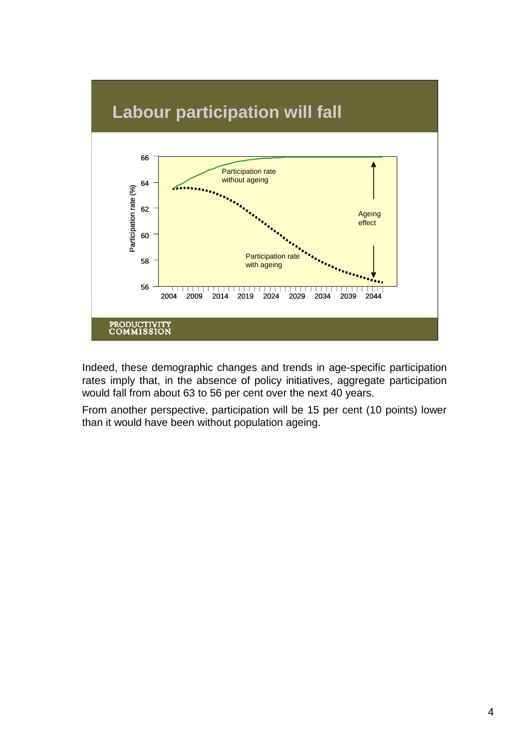

Indeed, these demographic changes and trends in age-specific participation rates imply that, in the absence of policy initiatives, aggregate participation would fall from about 63 to 56 per cent over the next 40 years.

From another perspective, participation will be 15 per cent (10 points) lower than it would have been without population ageing.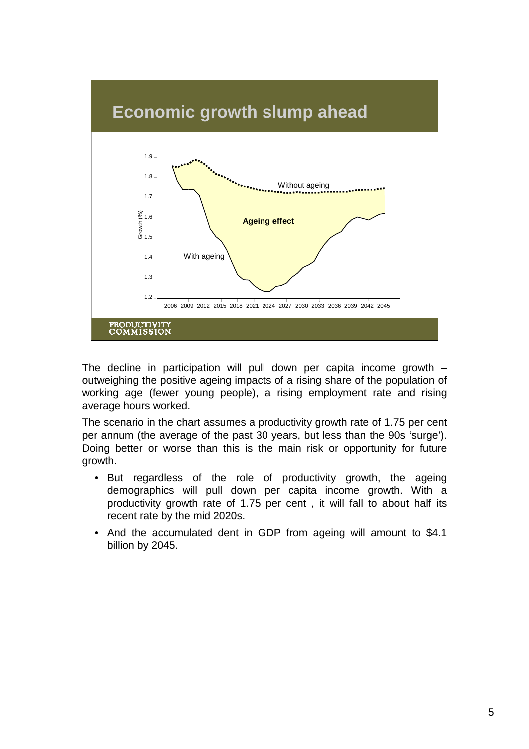

The decline in participation will pull down per capita income growth – outweighing the positive ageing impacts of a rising share of the population of working age (fewer young people), a rising employment rate and rising average hours worked.

The scenario in the chart assumes a productivity growth rate of 1.75 per cent per annum (the average of the past 30 years, but less than the 90s 'surge'). Doing better or worse than this is the main risk or opportunity for future growth.

- But regardless of the role of productivity growth, the ageing demographics will pull down per capita income growth. With a productivity growth rate of 1.75 per cent , it will fall to about half its recent rate by the mid 2020s.
- And the accumulated dent in GDP from ageing will amount to \$4.1 billion by 2045.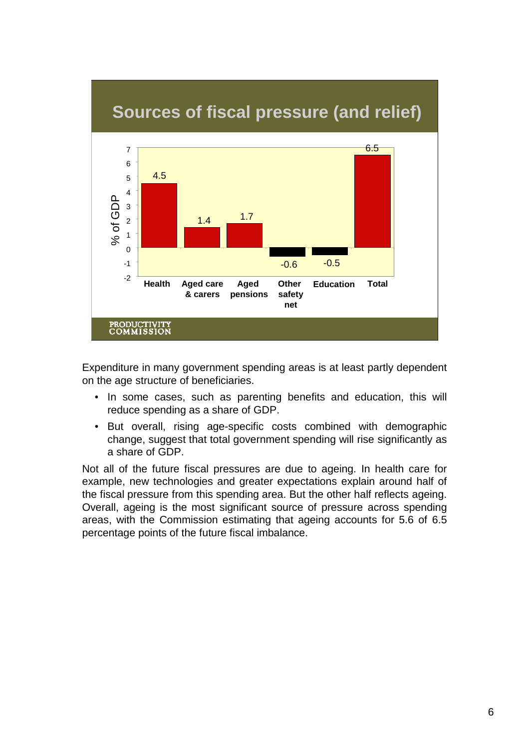

Expenditure in many government spending areas is at least partly dependent on the age structure of beneficiaries.

- In some cases, such as parenting benefits and education, this will reduce spending as a share of GDP.
- But overall, rising age-specific costs combined with demographic change, suggest that total government spending will rise significantly as a share of GDP.

Not all of the future fiscal pressures are due to ageing. In health care for example, new technologies and greater expectations explain around half of the fiscal pressure from this spending area. But the other half reflects ageing. Overall, ageing is the most significant source of pressure across spending areas, with the Commission estimating that ageing accounts for 5.6 of 6.5 percentage points of the future fiscal imbalance.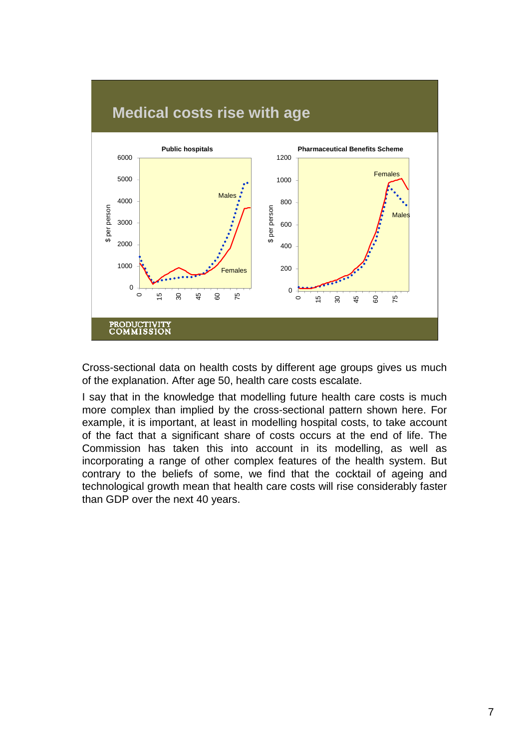

Cross-sectional data on health costs by different age groups gives us much of the explanation. After age 50, health care costs escalate.

I say that in the knowledge that modelling future health care costs is much more complex than implied by the cross-sectional pattern shown here. For example, it is important, at least in modelling hospital costs, to take account of the fact that a significant share of costs occurs at the end of life. The Commission has taken this into account in its modelling, as well as incorporating a range of other complex features of the health system. But contrary to the beliefs of some, we find that the cocktail of ageing and technological growth mean that health care costs will rise considerably faster than GDP over the next 40 years.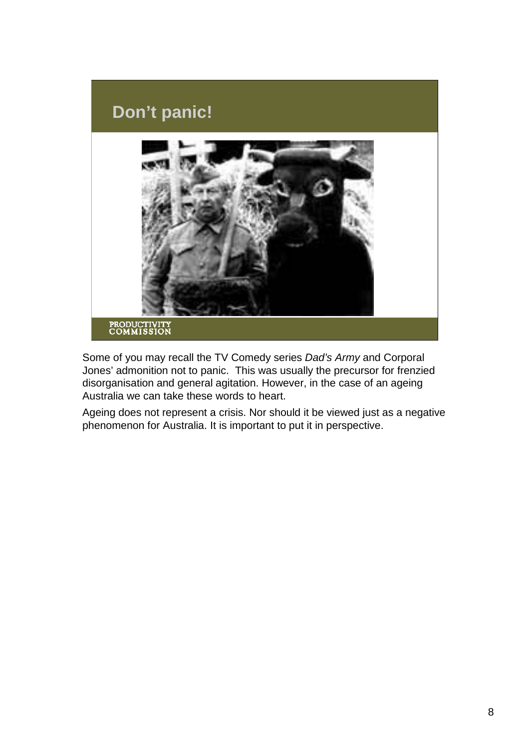

Some of you may recall the TV Comedy series *Dad's Army* and Corporal Jones' admonition not to panic. This was usually the precursor for frenzied disorganisation and general agitation. However, in the case of an ageing Australia we can take these words to heart.

Ageing does not represent a crisis. Nor should it be viewed just as a negative phenomenon for Australia. It is important to put it in perspective.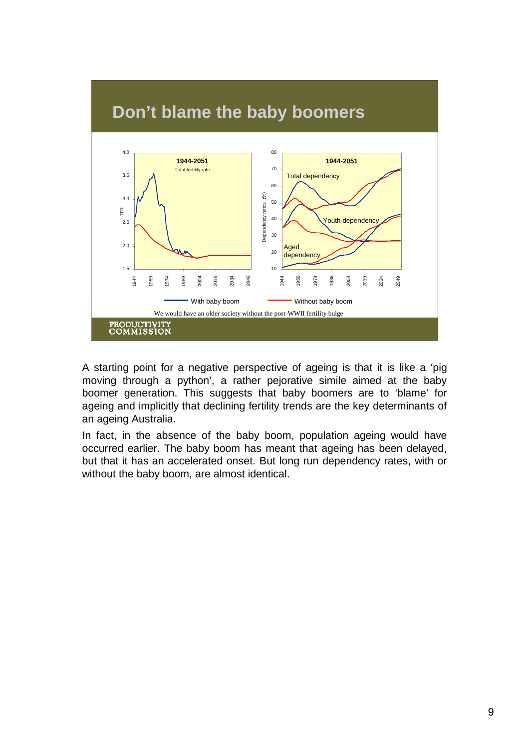

A starting point for a negative perspective of ageing is that it is like a 'pig moving through a python', a rather pejorative simile aimed at the baby boomer generation. This suggests that baby boomers are to 'blame' for ageing and implicitly that declining fertility trends are the key determinants of an ageing Australia.

In fact, in the absence of the baby boom, population ageing would have occurred earlier. The baby boom has meant that ageing has been delayed, but that it has an accelerated onset. But long run dependency rates, with or without the baby boom, are almost identical.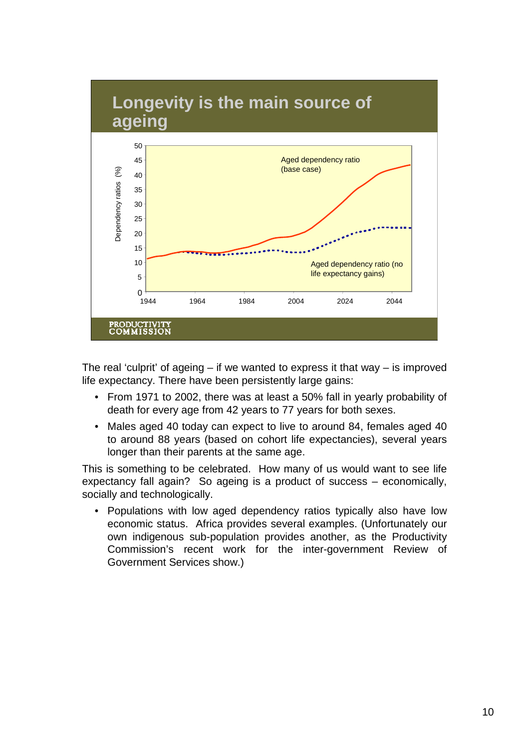

The real 'culprit' of ageing  $-$  if we wanted to express it that way  $-$  is improved life expectancy. There have been persistently large gains:

- From 1971 to 2002, there was at least a 50% fall in yearly probability of death for every age from 42 years to 77 years for both sexes.
- Males aged 40 today can expect to live to around 84, females aged 40 to around 88 years (based on cohort life expectancies), several years longer than their parents at the same age.

This is something to be celebrated. How many of us would want to see life expectancy fall again? So ageing is a product of success – economically, socially and technologically.

• Populations with low aged dependency ratios typically also have low economic status. Africa provides several examples. (Unfortunately our own indigenous sub-population provides another, as the Productivity Commission's recent work for the inter-government Review of Government Services show.)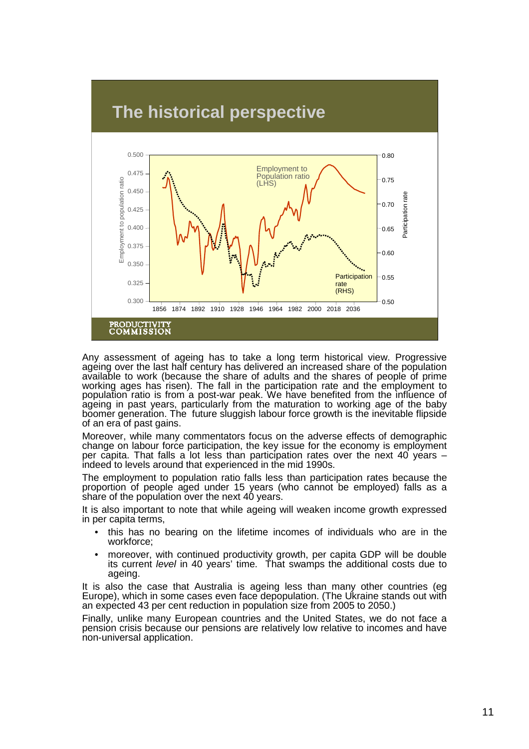

Any assessment of ageing has to take a long term historical view. Progressive ageing over the last half century has delivered an increased share of the population available to work (because the share of adults and the shares of people of prime working ages has risen). The fall in the participation rate and the employment to population ratio is from a post-war peak. We have benefited from the influence of ageing in past years, particularly from the maturation to working age of the baby boomer generation. The future sluggish labour force growth is the inevitable flipside of an era of past gains.

Moreover, while many commentators focus on the adverse effects of demographic change on labour force participation, the key issue for the economy is employment per capita. That falls a lot less than participation rates over the next 40 years – indeed to levels around that experienced in the mid 1990s.

The employment to population ratio falls less than participation rates because the proportion of people aged under 15 years (who cannot be employed) falls as a share of the population over the next 40 years.

It is also important to note that while ageing will weaken income growth expressed in per capita terms,

- this has no bearing on the lifetime incomes of individuals who are in the workforce;
- moreover, with continued productivity growth, per capita GDP will be double its current *level* in 40 years' time. That swamps the additional costs due to ageing.

It is also the case that Australia is ageing less than many other countries (eg Europe), which in some cases even face depopulation. (The Ukraine stands out with an expected 43 per cent reduction in population size from 2005 to 2050.)

Finally, unlike many European countries and the United States, we do not face a pension crisis because our pensions are relatively low relative to incomes and have non-universal application.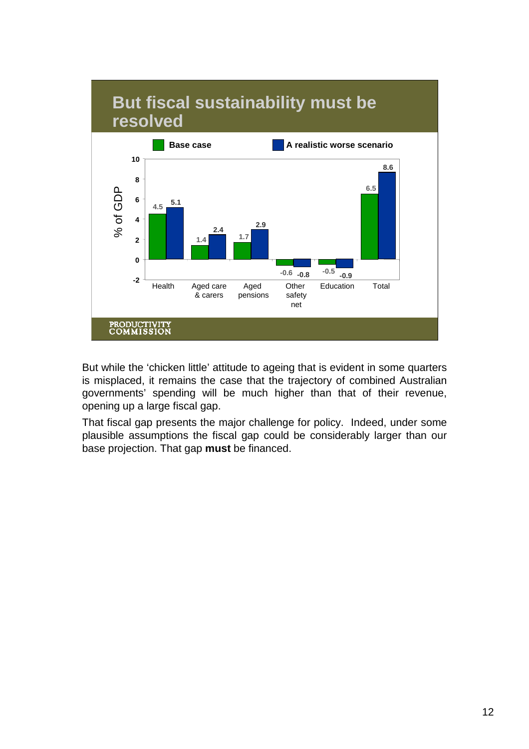

But while the 'chicken little' attitude to ageing that is evident in some quarters is misplaced, it remains the case that the trajectory of combined Australian governments' spending will be much higher than that of their revenue, opening up a large fiscal gap.

That fiscal gap presents the major challenge for policy. Indeed, under some plausible assumptions the fiscal gap could be considerably larger than our base projection. That gap **must** be financed.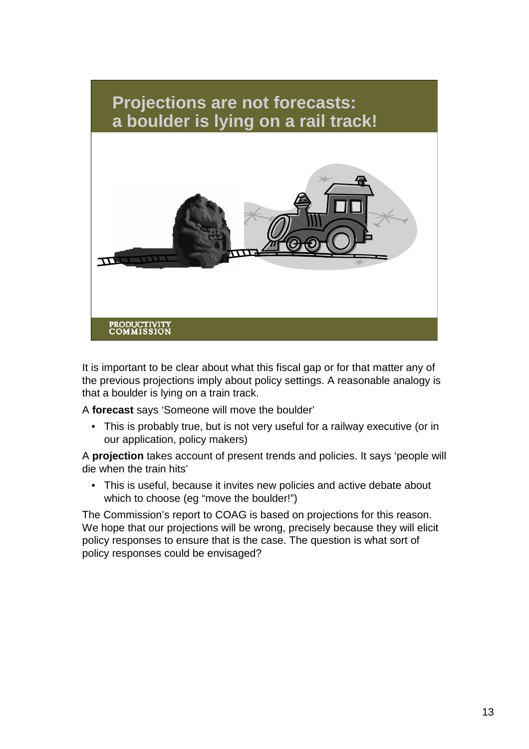

It is important to be clear about what this fiscal gap or for that matter any of the previous projections imply about policy settings. A reasonable analogy is that a boulder is lying on a train track.

A **forecast** says 'Someone will move the boulder'

• This is probably true, but is not very useful for a railway executive (or in our application, policy makers)

A **projection** takes account of present trends and policies. It says 'people will die when the train hits'

• This is useful, because it invites new policies and active debate about which to choose (eg "move the boulder!")

The Commission's report to COAG is based on projections for this reason. We hope that our projections will be wrong, precisely because they will elicit policy responses to ensure that is the case. The question is what sort of policy responses could be envisaged?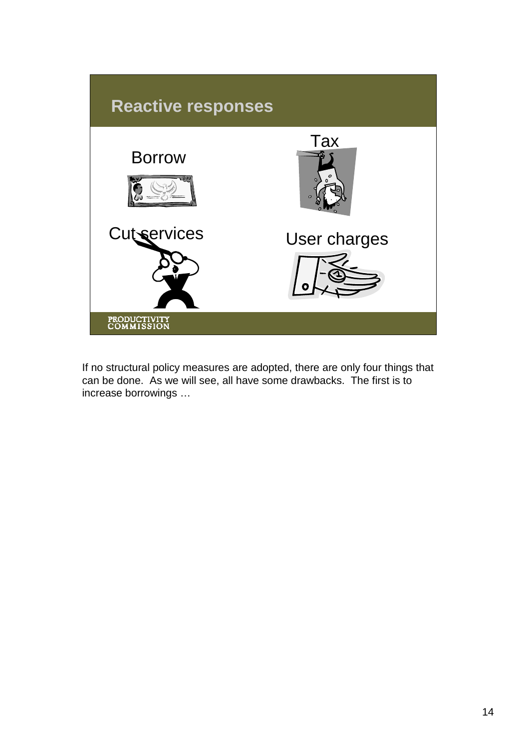

If no structural policy measures are adopted, there are only four things that can be done. As we will see, all have some drawbacks. The first is to increase borrowings …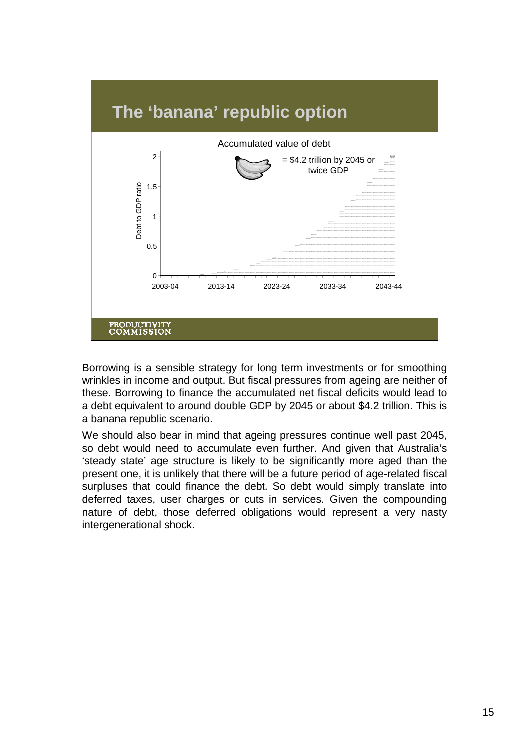

Borrowing is a sensible strategy for long term investments or for smoothing wrinkles in income and output. But fiscal pressures from ageing are neither of these. Borrowing to finance the accumulated net fiscal deficits would lead to a debt equivalent to around double GDP by 2045 or about \$4.2 trillion. This is a banana republic scenario.

We should also bear in mind that ageing pressures continue well past 2045, so debt would need to accumulate even further. And given that Australia's 'steady state' age structure is likely to be significantly more aged than the present one, it is unlikely that there will be a future period of age-related fiscal surpluses that could finance the debt. So debt would simply translate into deferred taxes, user charges or cuts in services. Given the compounding nature of debt, those deferred obligations would represent a very nasty intergenerational shock.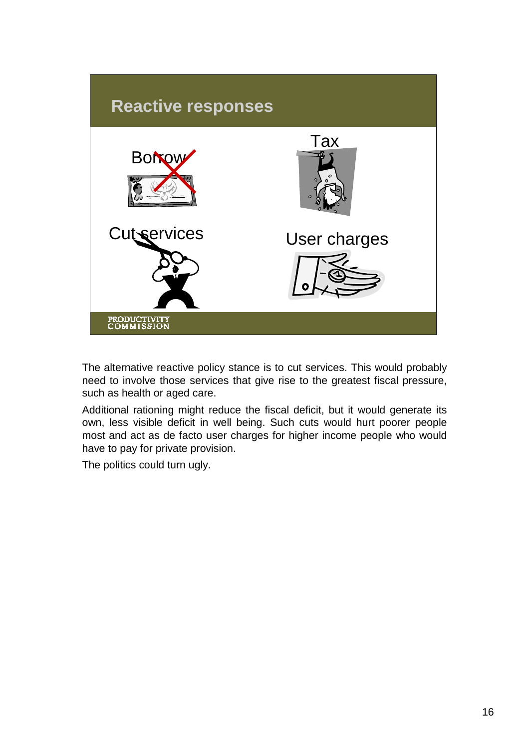

The alternative reactive policy stance is to cut services. This would probably need to involve those services that give rise to the greatest fiscal pressure, such as health or aged care.

Additional rationing might reduce the fiscal deficit, but it would generate its own, less visible deficit in well being. Such cuts would hurt poorer people most and act as de facto user charges for higher income people who would have to pay for private provision.

The politics could turn ugly.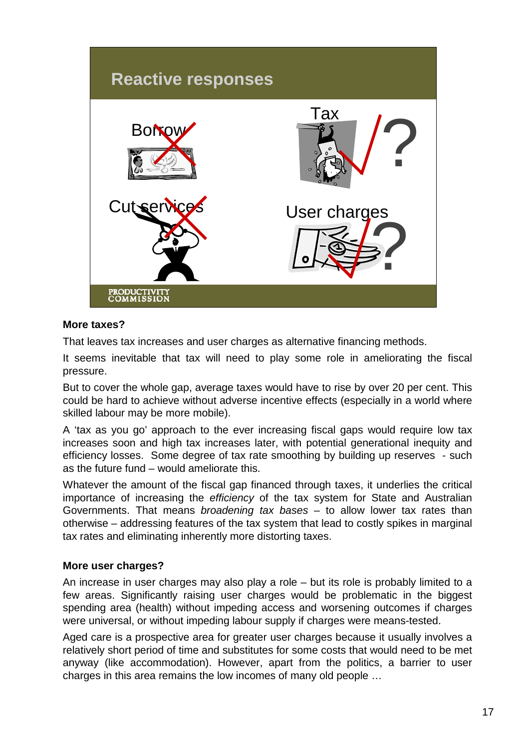

## **More taxes?**

That leaves tax increases and user charges as alternative financing methods.

It seems inevitable that tax will need to play some role in ameliorating the fiscal pressure.

But to cover the whole gap, average taxes would have to rise by over 20 per cent. This could be hard to achieve without adverse incentive effects (especially in a world where skilled labour may be more mobile).

A 'tax as you go' approach to the ever increasing fiscal gaps would require low tax increases soon and high tax increases later, with potential generational inequity and efficiency losses. Some degree of tax rate smoothing by building up reserves - such as the future fund – would ameliorate this.

Whatever the amount of the fiscal gap financed through taxes, it underlies the critical importance of increasing the *efficiency* of the tax system for State and Australian Governments. That means *broadening tax bases* – to allow lower tax rates than otherwise – addressing features of the tax system that lead to costly spikes in marginal tax rates and eliminating inherently more distorting taxes.

## **More user charges?**

An increase in user charges may also play a role – but its role is probably limited to a few areas. Significantly raising user charges would be problematic in the biggest spending area (health) without impeding access and worsening outcomes if charges were universal, or without impeding labour supply if charges were means-tested.

Aged care is a prospective area for greater user charges because it usually involves a relatively short period of time and substitutes for some costs that would need to be met anyway (like accommodation). However, apart from the politics, a barrier to user charges in this area remains the low incomes of many old people …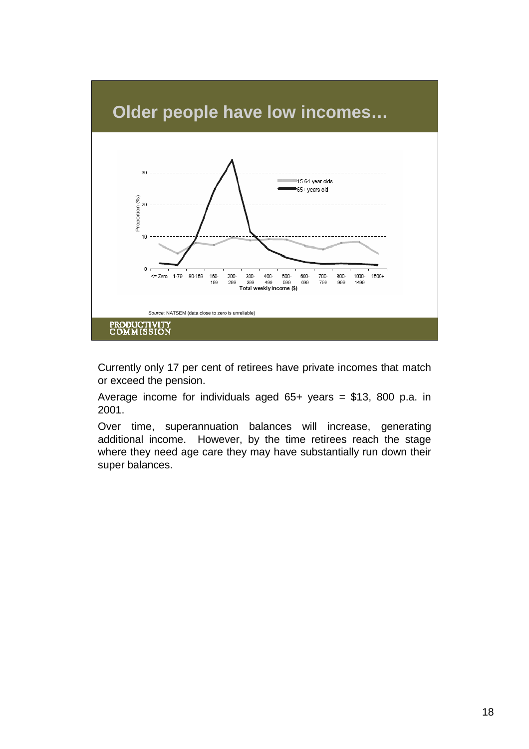

Currently only 17 per cent of retirees have private incomes that match or exceed the pension.

Average income for individuals aged 65+ years = \$13, 800 p.a. in 2001.

Over time, superannuation balances will increase, generating additional income. However, by the time retirees reach the stage where they need age care they may have substantially run down their super balances.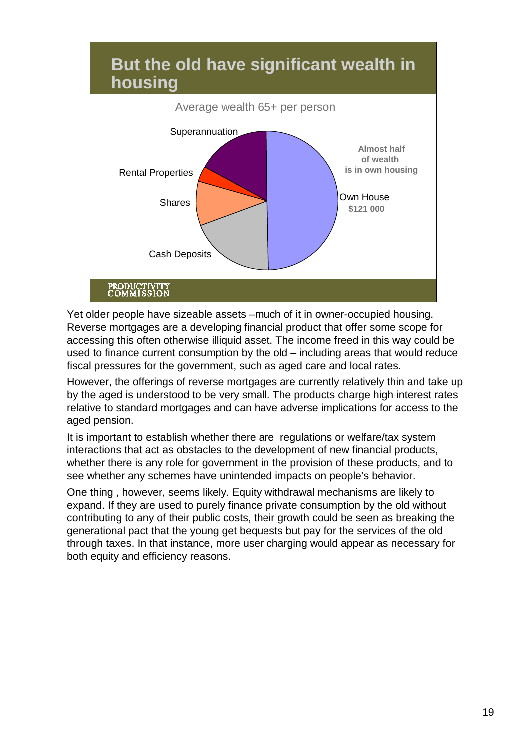

Yet older people have sizeable assets –much of it in owner-occupied housing. Reverse mortgages are a developing financial product that offer some scope for accessing this often otherwise illiquid asset. The income freed in this way could be used to finance current consumption by the old – including areas that would reduce fiscal pressures for the government, such as aged care and local rates.

However, the offerings of reverse mortgages are currently relatively thin and take up by the aged is understood to be very small. The products charge high interest rates relative to standard mortgages and can have adverse implications for access to the aged pension.

It is important to establish whether there are regulations or welfare/tax system interactions that act as obstacles to the development of new financial products, whether there is any role for government in the provision of these products, and to see whether any schemes have unintended impacts on people's behavior.

One thing , however, seems likely. Equity withdrawal mechanisms are likely to expand. If they are used to purely finance private consumption by the old without contributing to any of their public costs, their growth could be seen as breaking the generational pact that the young get bequests but pay for the services of the old through taxes. In that instance, more user charging would appear as necessary for both equity and efficiency reasons.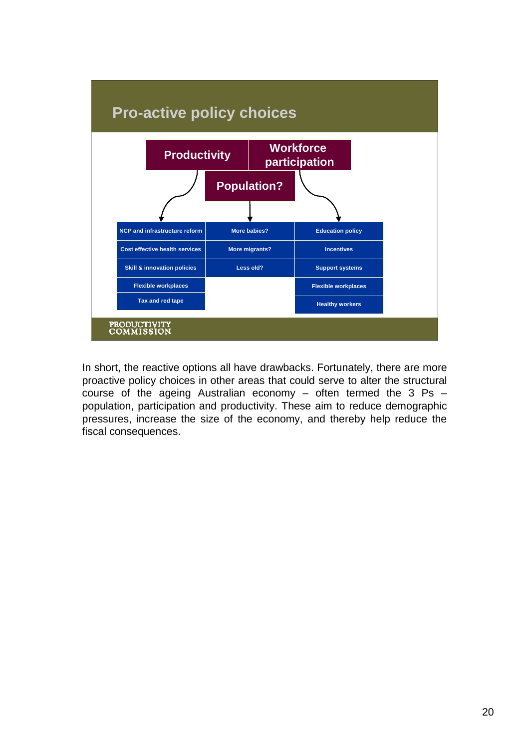

In short, the reactive options all have drawbacks. Fortunately, there are more proactive policy choices in other areas that could serve to alter the structural course of the ageing Australian economy – often termed the 3 Ps – population, participation and productivity. These aim to reduce demographic pressures, increase the size of the economy, and thereby help reduce the fiscal consequences.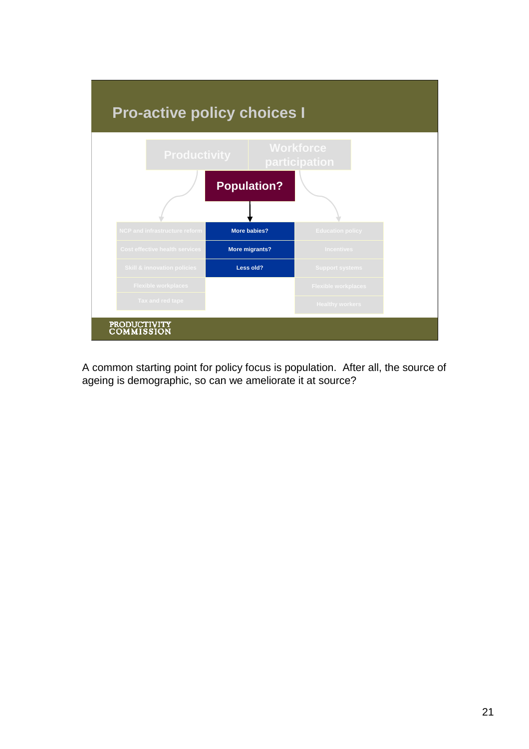

A common starting point for policy focus is population. After all, the source of ageing is demographic, so can we ameliorate it at source?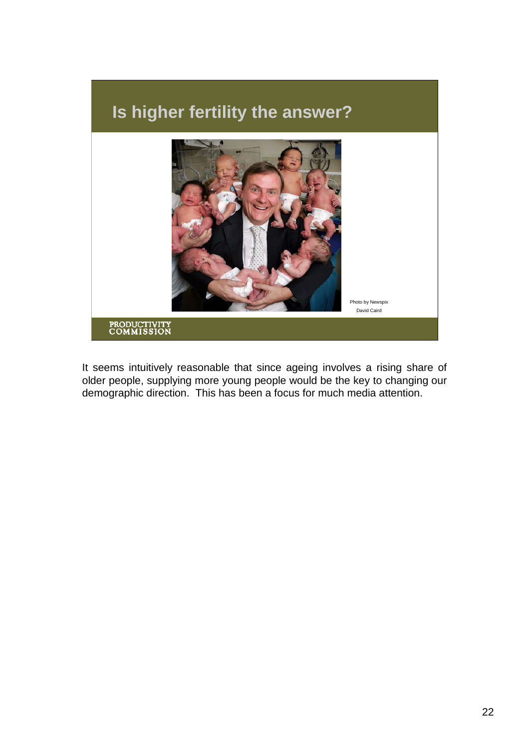

It seems intuitively reasonable that since ageing involves a rising share of older people, supplying more young people would be the key to changing our demographic direction. This has been a focus for much media attention.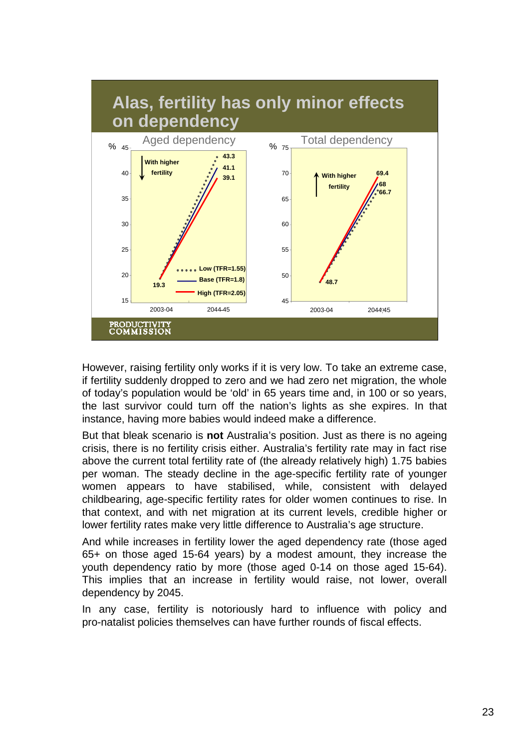

However, raising fertility only works if it is very low. To take an extreme case, if fertility suddenly dropped to zero and we had zero net migration, the whole of today's population would be 'old' in 65 years time and, in 100 or so years, the last survivor could turn off the nation's lights as she expires. In that instance, having more babies would indeed make a difference.

But that bleak scenario is **not** Australia's position. Just as there is no ageing crisis, there is no fertility crisis either. Australia's fertility rate may in fact rise above the current total fertility rate of (the already relatively high) 1.75 babies per woman. The steady decline in the age-specific fertility rate of younger women appears to have stabilised, while, consistent with delayed childbearing, age-specific fertility rates for older women continues to rise. In that context, and with net migration at its current levels, credible higher or lower fertility rates make very little difference to Australia's age structure.

And while increases in fertility lower the aged dependency rate (those aged 65+ on those aged 15-64 years) by a modest amount, they increase the youth dependency ratio by more (those aged 0-14 on those aged 15-64). This implies that an increase in fertility would raise, not lower, overall dependency by 2045.

In any case, fertility is notoriously hard to influence with policy and pro-natalist policies themselves can have further rounds of fiscal effects.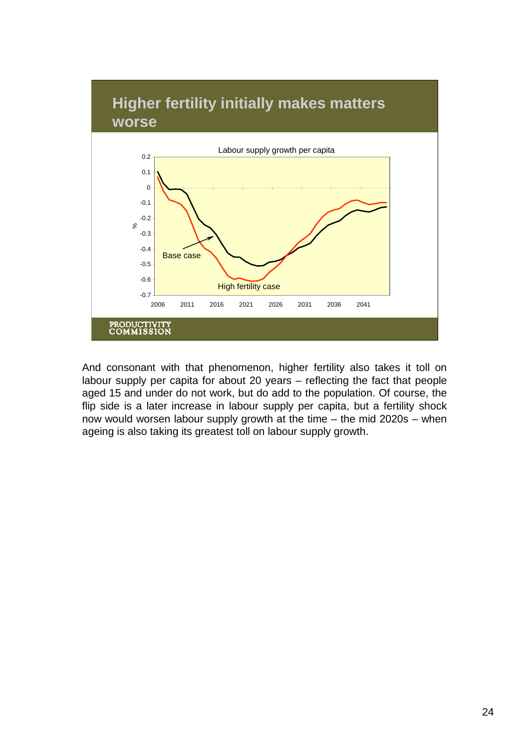

And consonant with that phenomenon, higher fertility also takes it toll on labour supply per capita for about 20 years – reflecting the fact that people aged 15 and under do not work, but do add to the population. Of course, the flip side is a later increase in labour supply per capita, but a fertility shock now would worsen labour supply growth at the time – the mid 2020s – when ageing is also taking its greatest toll on labour supply growth.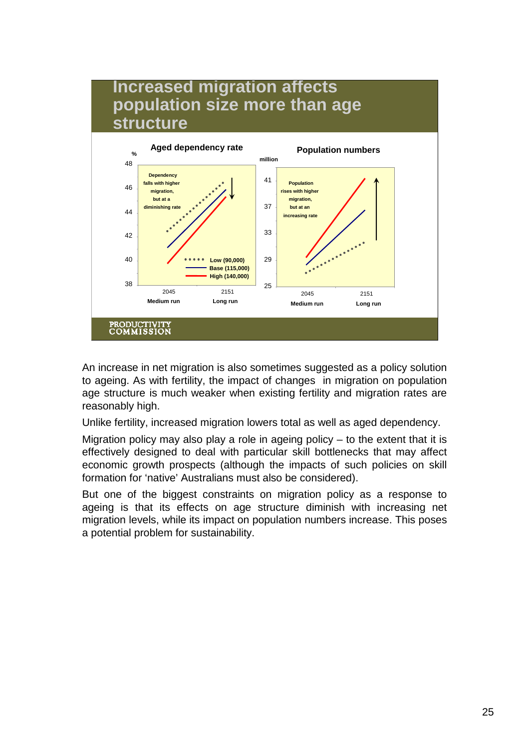

An increase in net migration is also sometimes suggested as a policy solution to ageing. As with fertility, the impact of changes in migration on population age structure is much weaker when existing fertility and migration rates are reasonably high.

Unlike fertility, increased migration lowers total as well as aged dependency.

Migration policy may also play a role in ageing policy – to the extent that it is effectively designed to deal with particular skill bottlenecks that may affect economic growth prospects (although the impacts of such policies on skill formation for 'native' Australians must also be considered).

But one of the biggest constraints on migration policy as a response to ageing is that its effects on age structure diminish with increasing net migration levels, while its impact on population numbers increase. This poses a potential problem for sustainability.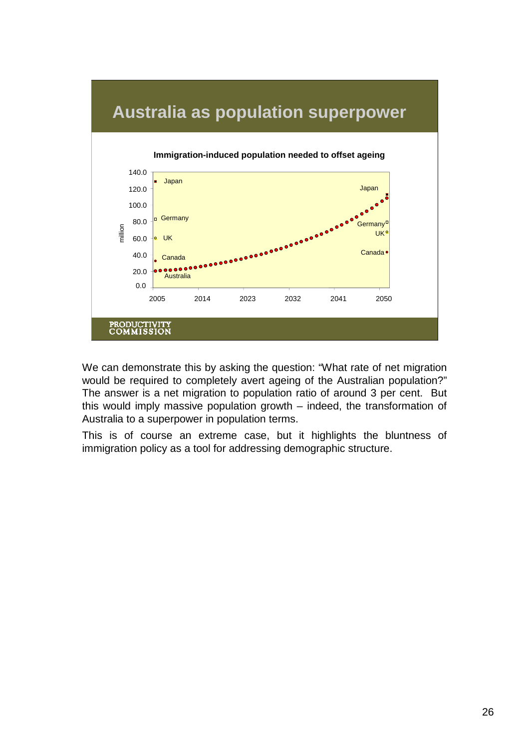

We can demonstrate this by asking the question: "What rate of net migration would be required to completely avert ageing of the Australian population?" The answer is a net migration to population ratio of around 3 per cent. But this would imply massive population growth – indeed, the transformation of Australia to a superpower in population terms.

This is of course an extreme case, but it highlights the bluntness of immigration policy as a tool for addressing demographic structure.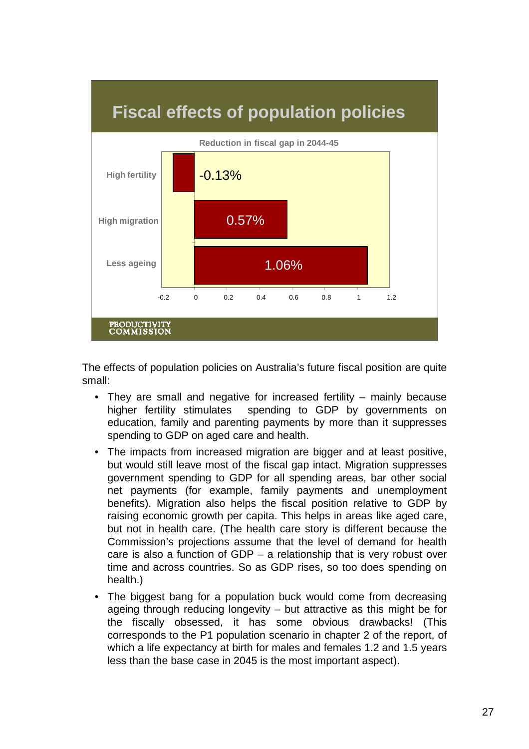

The effects of population policies on Australia's future fiscal position are quite small:

- They are small and negative for increased fertility mainly because higher fertility stimulates spending to GDP by governments on education, family and parenting payments by more than it suppresses spending to GDP on aged care and health.
- The impacts from increased migration are bigger and at least positive, but would still leave most of the fiscal gap intact. Migration suppresses government spending to GDP for all spending areas, bar other social net payments (for example, family payments and unemployment benefits). Migration also helps the fiscal position relative to GDP by raising economic growth per capita. This helps in areas like aged care, but not in health care. (The health care story is different because the Commission's projections assume that the level of demand for health care is also a function of GDP – a relationship that is very robust over time and across countries. So as GDP rises, so too does spending on health.)
- The biggest bang for a population buck would come from decreasing ageing through reducing longevity – but attractive as this might be for the fiscally obsessed, it has some obvious drawbacks! (This corresponds to the P1 population scenario in chapter 2 of the report, of which a life expectancy at birth for males and females 1.2 and 1.5 years less than the base case in 2045 is the most important aspect).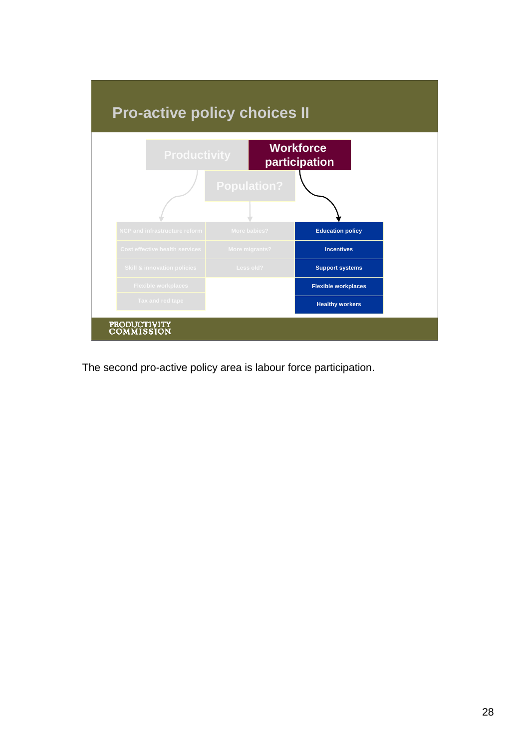

The second pro-active policy area is labour force participation.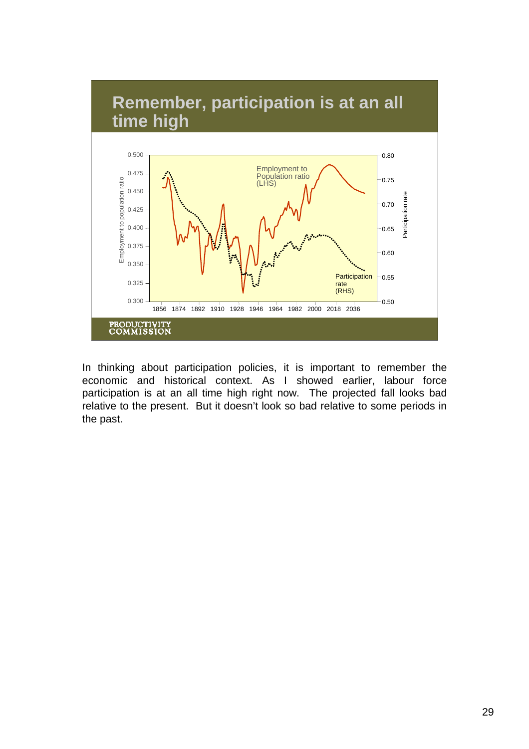

In thinking about participation policies, it is important to remember the economic and historical context. As I showed earlier, labour force participation is at an all time high right now. The projected fall looks bad relative to the present. But it doesn't look so bad relative to some periods in the past.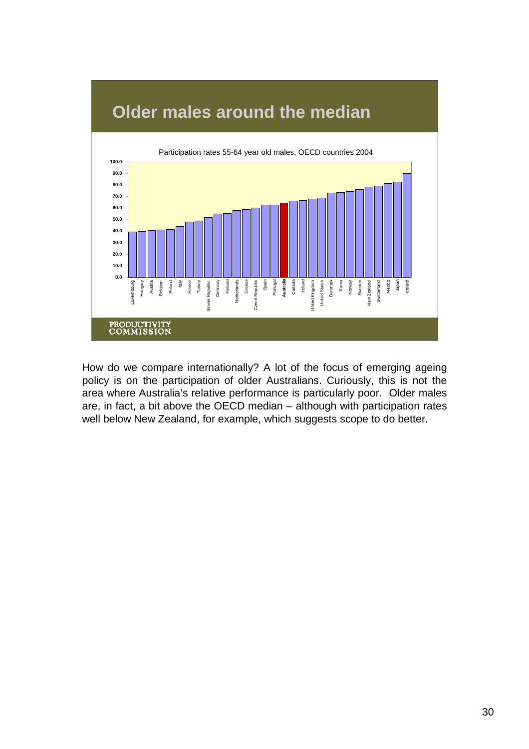

How do we compare internationally? A lot of the focus of emerging ageing policy is on the participation of older Australians. Curiously, this is not the area where Australia's relative performance is particularly poor. Older males are, in fact, a bit above the OECD median – although with participation rates well below New Zealand, for example, which suggests scope to do better.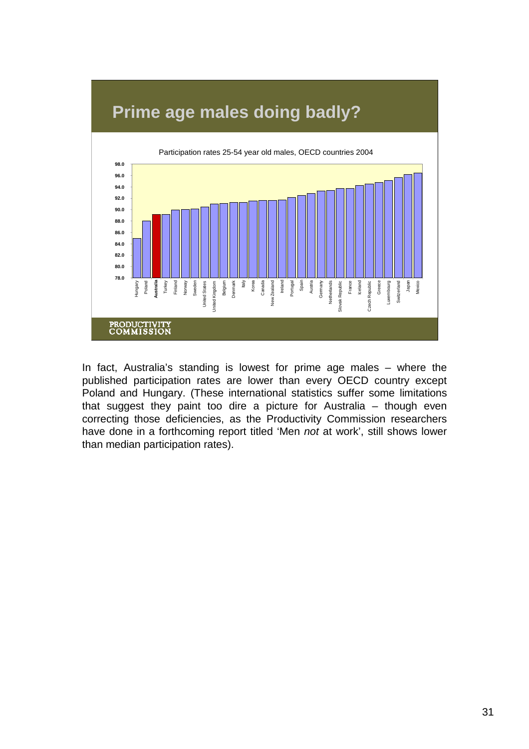

In fact, Australia's standing is lowest for prime age males – where the published participation rates are lower than every OECD country except Poland and Hungary. (These international statistics suffer some limitations that suggest they paint too dire a picture for Australia – though even correcting those deficiencies, as the Productivity Commission researchers have done in a forthcoming report titled 'Men *not* at work', still shows lower than median participation rates).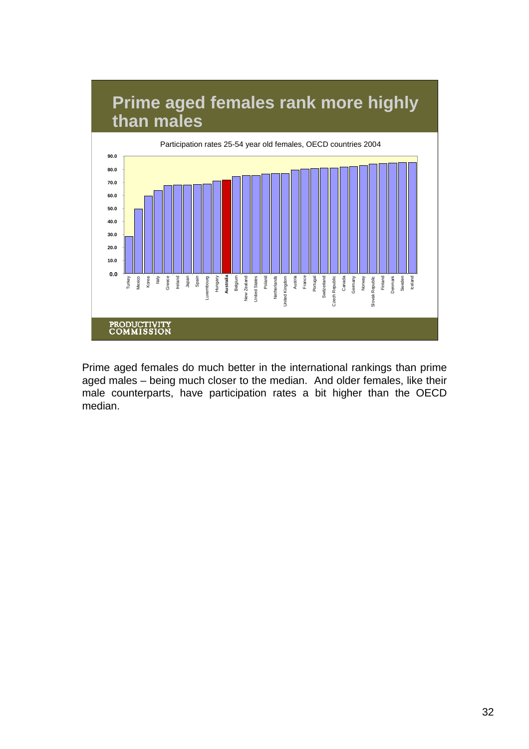

Prime aged females do much better in the international rankings than prime aged males – being much closer to the median. And older females, like their male counterparts, have participation rates a bit higher than the OECD median.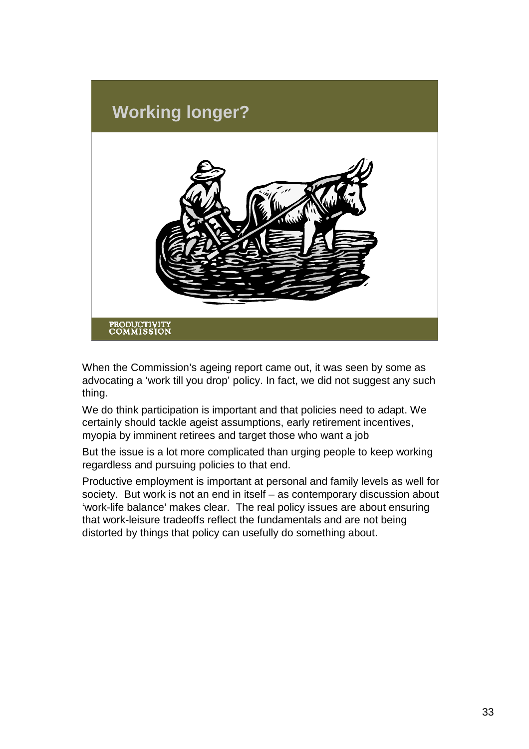

When the Commission's ageing report came out, it was seen by some as advocating a 'work till you drop' policy. In fact, we did not suggest any such thing.

We do think participation is important and that policies need to adapt. We certainly should tackle ageist assumptions, early retirement incentives, myopia by imminent retirees and target those who want a job

But the issue is a lot more complicated than urging people to keep working regardless and pursuing policies to that end.

Productive employment is important at personal and family levels as well for society. But work is not an end in itself – as contemporary discussion about 'work-life balance' makes clear. The real policy issues are about ensuring that work-leisure tradeoffs reflect the fundamentals and are not being distorted by things that policy can usefully do something about.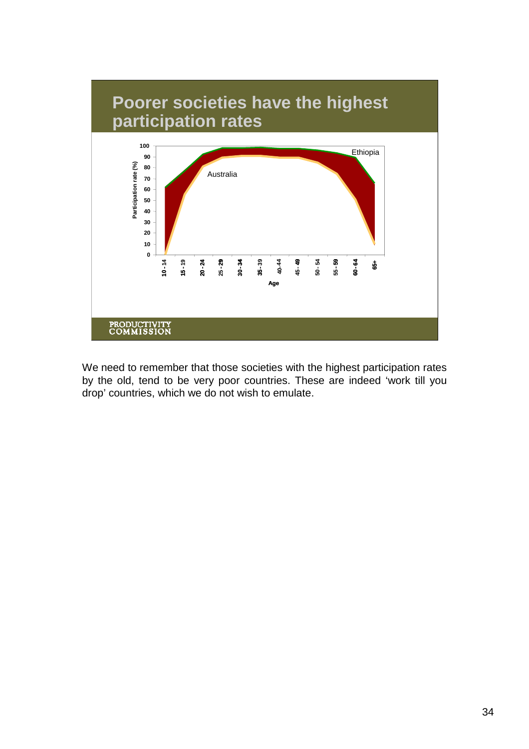

We need to remember that those societies with the highest participation rates by the old, tend to be very poor countries. These are indeed 'work till you drop' countries, which we do not wish to emulate.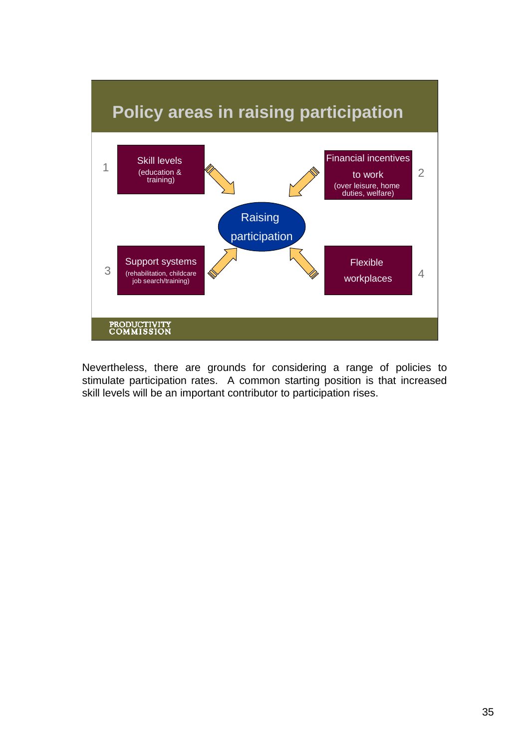

Nevertheless, there are grounds for considering a range of policies to stimulate participation rates. A common starting position is that increased skill levels will be an important contributor to participation rises.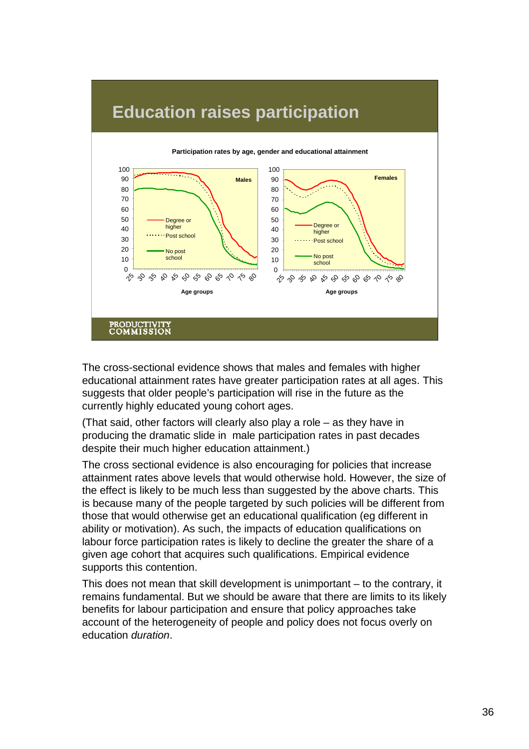

## **Education raises participation**

The cross-sectional evidence shows that males and females with higher educational attainment rates have greater participation rates at all ages. This suggests that older people's participation will rise in the future as the currently highly educated young cohort ages.

(That said, other factors will clearly also play a role – as they have in producing the dramatic slide in male participation rates in past decades despite their much higher education attainment.)

The cross sectional evidence is also encouraging for policies that increase attainment rates above levels that would otherwise hold. However, the size of the effect is likely to be much less than suggested by the above charts. This is because many of the people targeted by such policies will be different from those that would otherwise get an educational qualification (eg different in ability or motivation). As such, the impacts of education qualifications on labour force participation rates is likely to decline the greater the share of a given age cohort that acquires such qualifications. Empirical evidence supports this contention.

This does not mean that skill development is unimportant – to the contrary, it remains fundamental. But we should be aware that there are limits to its likely benefits for labour participation and ensure that policy approaches take account of the heterogeneity of people and policy does not focus overly on education *duration*.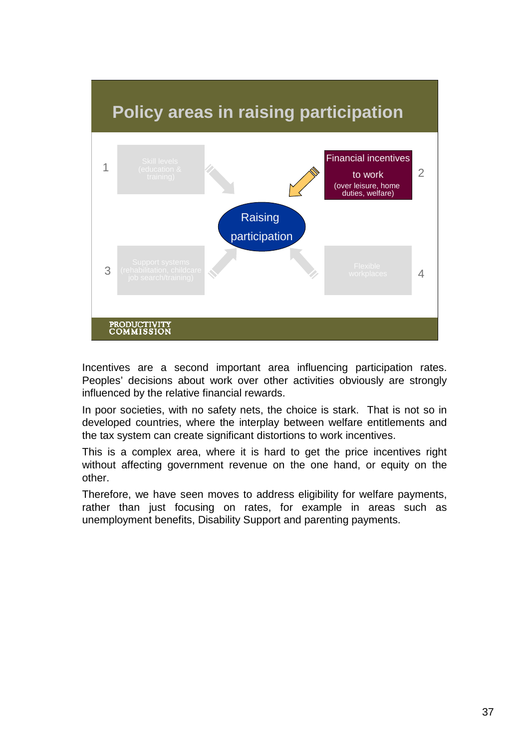

Incentives are a second important area influencing participation rates. Peoples' decisions about work over other activities obviously are strongly influenced by the relative financial rewards.

In poor societies, with no safety nets, the choice is stark. That is not so in developed countries, where the interplay between welfare entitlements and the tax system can create significant distortions to work incentives.

This is a complex area, where it is hard to get the price incentives right without affecting government revenue on the one hand, or equity on the other.

Therefore, we have seen moves to address eligibility for welfare payments, rather than just focusing on rates, for example in areas such as unemployment benefits, Disability Support and parenting payments.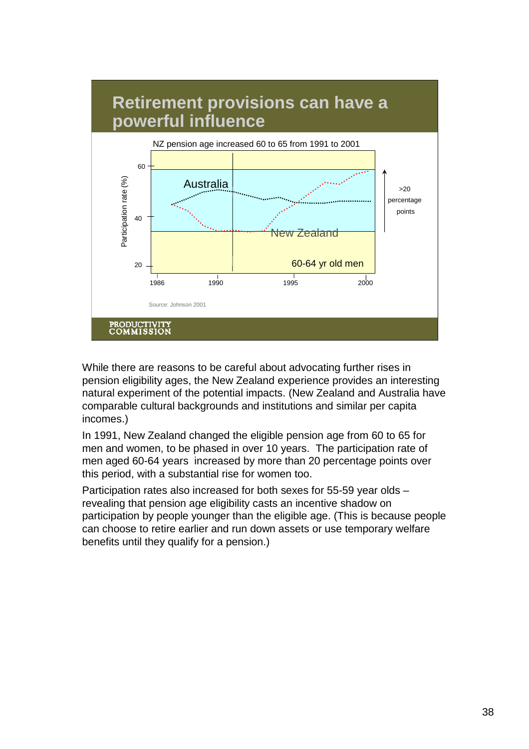

While there are reasons to be careful about advocating further rises in pension eligibility ages, the New Zealand experience provides an interesting natural experiment of the potential impacts. (New Zealand and Australia have comparable cultural backgrounds and institutions and similar per capita incomes.)

In 1991, New Zealand changed the eligible pension age from 60 to 65 for men and women, to be phased in over 10 years. The participation rate of men aged 60-64 years increased by more than 20 percentage points over this period, with a substantial rise for women too.

Participation rates also increased for both sexes for 55-59 year olds – revealing that pension age eligibility casts an incentive shadow on participation by people younger than the eligible age. (This is because people can choose to retire earlier and run down assets or use temporary welfare benefits until they qualify for a pension.)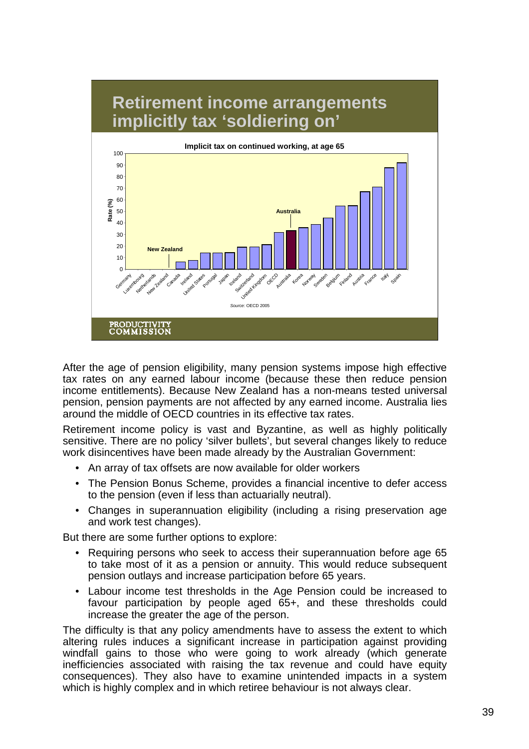

After the age of pension eligibility, many pension systems impose high effective tax rates on any earned labour income (because these then reduce pension income entitlements). Because New Zealand has a non-means tested universal pension, pension payments are not affected by any earned income. Australia lies around the middle of OECD countries in its effective tax rates.

Retirement income policy is vast and Byzantine, as well as highly politically sensitive. There are no policy 'silver bullets', but several changes likely to reduce work disincentives have been made already by the Australian Government:

- An array of tax offsets are now available for older workers
- The Pension Bonus Scheme, provides a financial incentive to defer access to the pension (even if less than actuarially neutral).
- Changes in superannuation eligibility (including a rising preservation age and work test changes).

But there are some further options to explore:

- Requiring persons who seek to access their superannuation before age 65 to take most of it as a pension or annuity. This would reduce subsequent pension outlays and increase participation before 65 years.
- Labour income test thresholds in the Age Pension could be increased to favour participation by people aged 65+, and these thresholds could increase the greater the age of the person.

The difficulty is that any policy amendments have to assess the extent to which altering rules induces a significant increase in participation against providing windfall gains to those who were going to work already (which generate inefficiencies associated with raising the tax revenue and could have equity consequences). They also have to examine unintended impacts in a system which is highly complex and in which retiree behaviour is not always clear.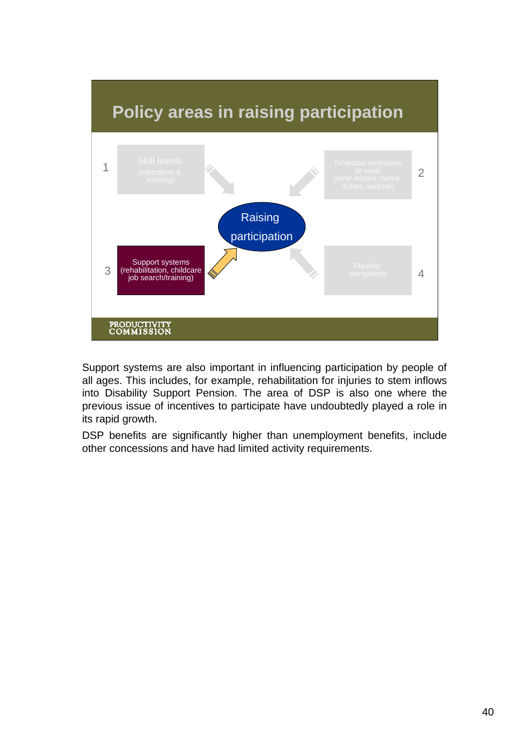

Support systems are also important in influencing participation by people of all ages. This includes, for example, rehabilitation for injuries to stem inflows into Disability Support Pension. The area of DSP is also one where the previous issue of incentives to participate have undoubtedly played a role in its rapid growth.

DSP benefits are significantly higher than unemployment benefits, include other concessions and have had limited activity requirements.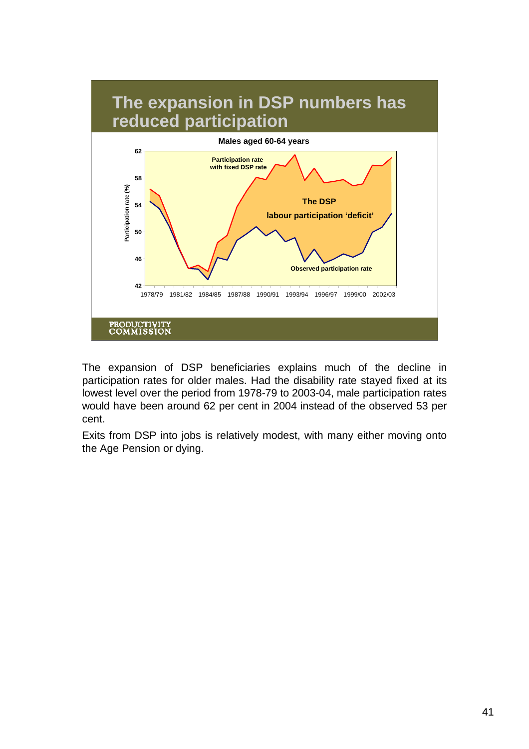

The expansion of DSP beneficiaries explains much of the decline in participation rates for older males. Had the disability rate stayed fixed at its lowest level over the period from 1978-79 to 2003-04, male participation rates would have been around 62 per cent in 2004 instead of the observed 53 per cent.

Exits from DSP into jobs is relatively modest, with many either moving onto the Age Pension or dying.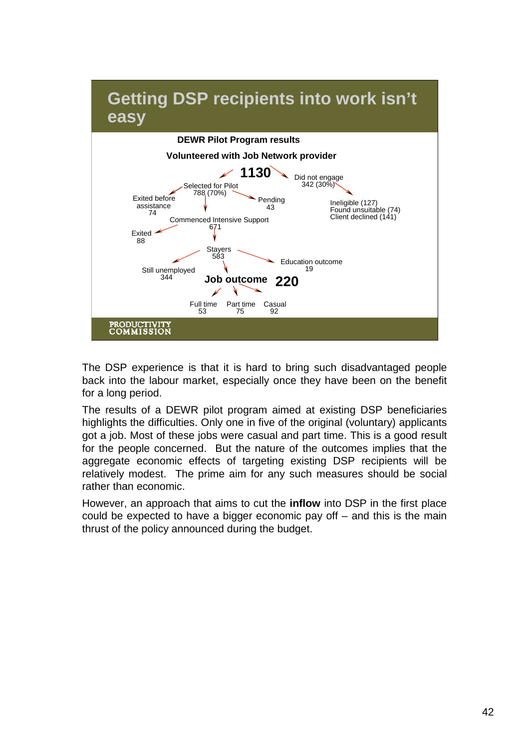

The DSP experience is that it is hard to bring such disadvantaged people back into the labour market, especially once they have been on the benefit for a long period.

The results of a DEWR pilot program aimed at existing DSP beneficiaries highlights the difficulties. Only one in five of the original (voluntary) applicants got a job. Most of these jobs were casual and part time. This is a good result for the people concerned. But the nature of the outcomes implies that the aggregate economic effects of targeting existing DSP recipients will be relatively modest. The prime aim for any such measures should be social rather than economic.

However, an approach that aims to cut the **inflow** into DSP in the first place could be expected to have a bigger economic pay off – and this is the main thrust of the policy announced during the budget.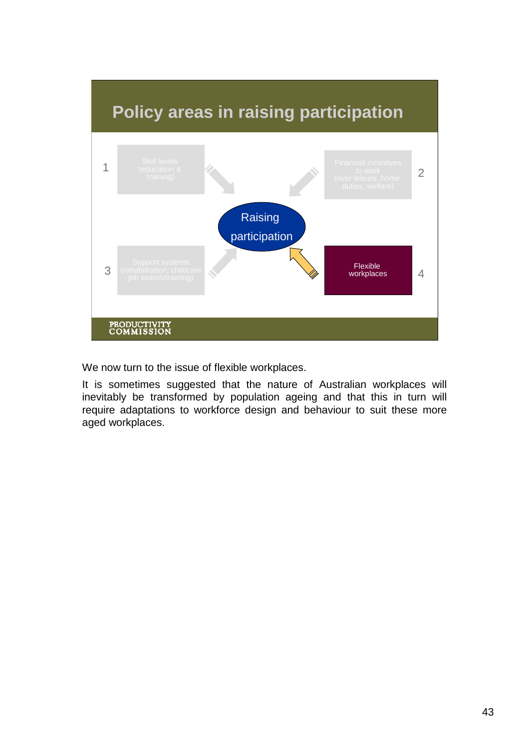

We now turn to the issue of flexible workplaces.

It is sometimes suggested that the nature of Australian workplaces will inevitably be transformed by population ageing and that this in turn will require adaptations to workforce design and behaviour to suit these more aged workplaces.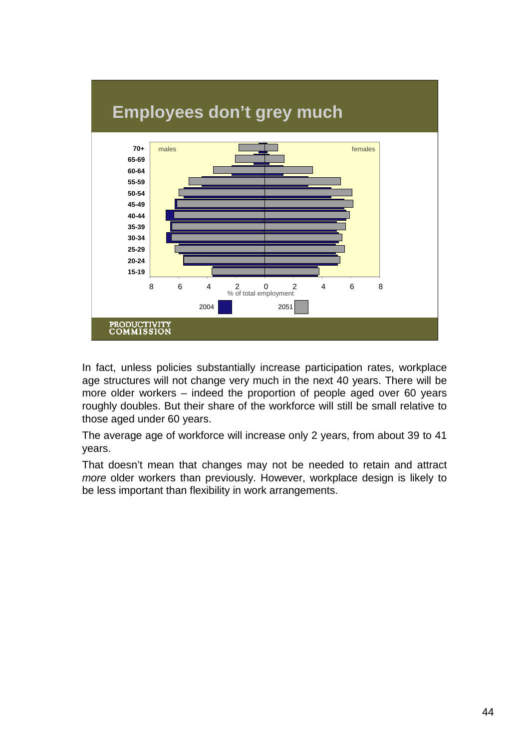

In fact, unless policies substantially increase participation rates, workplace age structures will not change very much in the next 40 years. There will be more older workers – indeed the proportion of people aged over 60 years roughly doubles. But their share of the workforce will still be small relative to those aged under 60 years.

The average age of workforce will increase only 2 years, from about 39 to 41 years.

That doesn't mean that changes may not be needed to retain and attract *more* older workers than previously. However, workplace design is likely to be less important than flexibility in work arrangements.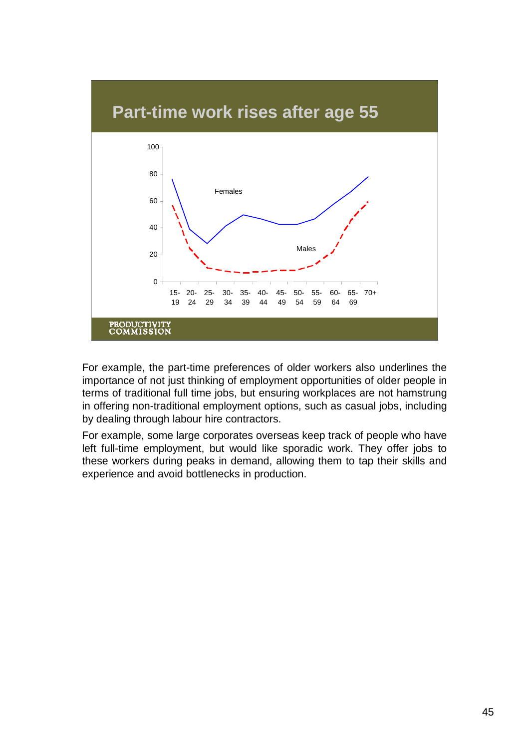

For example, the part-time preferences of older workers also underlines the importance of not just thinking of employment opportunities of older people in terms of traditional full time jobs, but ensuring workplaces are not hamstrung in offering non-traditional employment options, such as casual jobs, including by dealing through labour hire contractors.

For example, some large corporates overseas keep track of people who have left full-time employment, but would like sporadic work. They offer jobs to these workers during peaks in demand, allowing them to tap their skills and experience and avoid bottlenecks in production.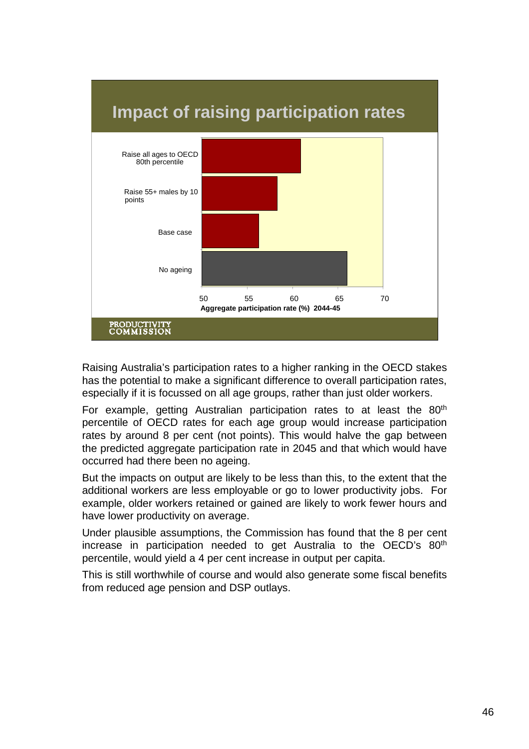

Raising Australia's participation rates to a higher ranking in the OECD stakes has the potential to make a significant difference to overall participation rates, especially if it is focussed on all age groups, rather than just older workers.

For example, getting Australian participation rates to at least the 80<sup>th</sup> percentile of OECD rates for each age group would increase participation rates by around 8 per cent (not points). This would halve the gap between the predicted aggregate participation rate in 2045 and that which would have occurred had there been no ageing.

But the impacts on output are likely to be less than this, to the extent that the additional workers are less employable or go to lower productivity jobs. For example, older workers retained or gained are likely to work fewer hours and have lower productivity on average.

Under plausible assumptions, the Commission has found that the 8 per cent increase in participation needed to get Australia to the OECD's 80<sup>th</sup> percentile, would yield a 4 per cent increase in output per capita.

This is still worthwhile of course and would also generate some fiscal benefits from reduced age pension and DSP outlays.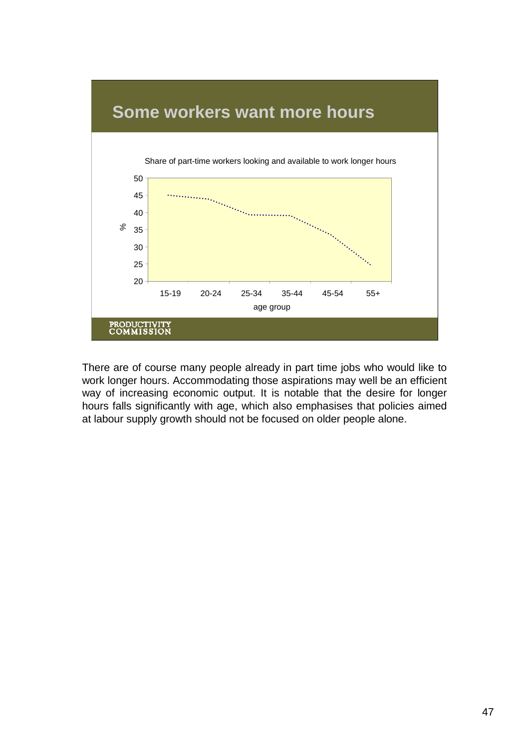

There are of course many people already in part time jobs who would like to work longer hours. Accommodating those aspirations may well be an efficient way of increasing economic output. It is notable that the desire for longer hours falls significantly with age, which also emphasises that policies aimed at labour supply growth should not be focused on older people alone.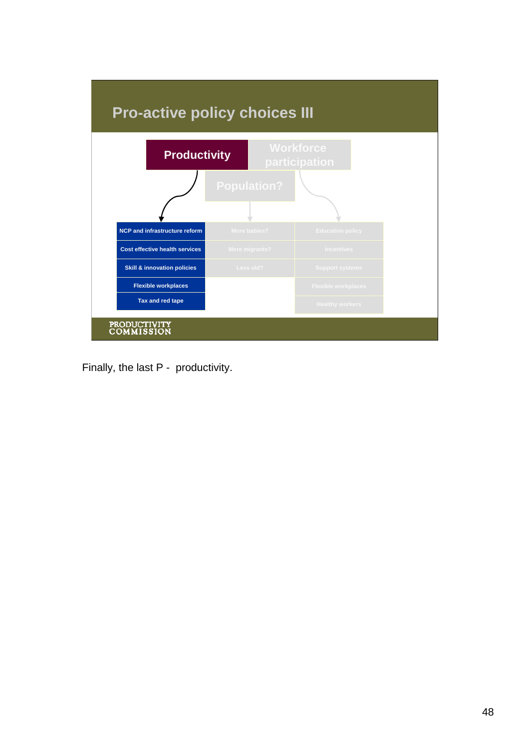

Finally, the last P - productivity.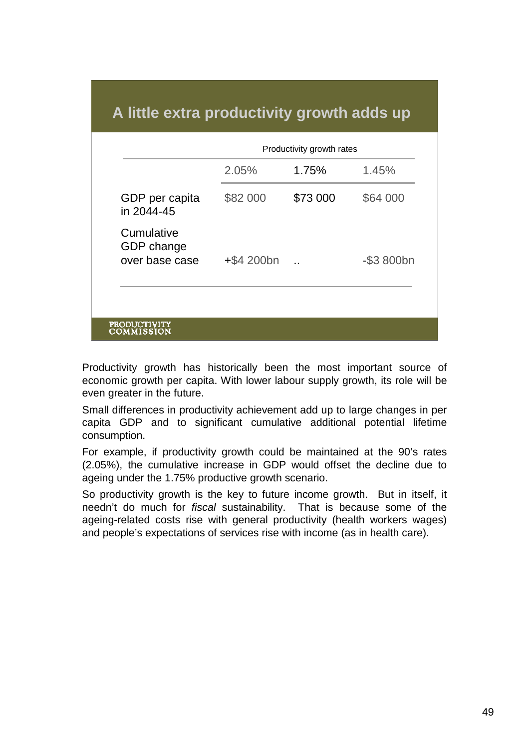## **A little extra productivity growth adds up**

|                                            | 2.05%         | 1.75%    | 1.45%         |
|--------------------------------------------|---------------|----------|---------------|
| GDP per capita<br>in 2044-45               | \$82 000      | \$73 000 | \$64 000      |
| Cumulative<br>GDP change<br>over base case | $+$ \$4 200bn |          | $-$ \$3 800bn |

Productivity growth has historically been the most important source of economic growth per capita. With lower labour supply growth, its role will be even greater in the future.

Small differences in productivity achievement add up to large changes in per capita GDP and to significant cumulative additional potential lifetime consumption.

For example, if productivity growth could be maintained at the 90's rates (2.05%), the cumulative increase in GDP would offset the decline due to ageing under the 1.75% productive growth scenario.

So productivity growth is the key to future income growth. But in itself, it needn't do much for *fiscal* sustainability. That is because some of the ageing-related costs rise with general productivity (health workers wages) and people's expectations of services rise with income (as in health care).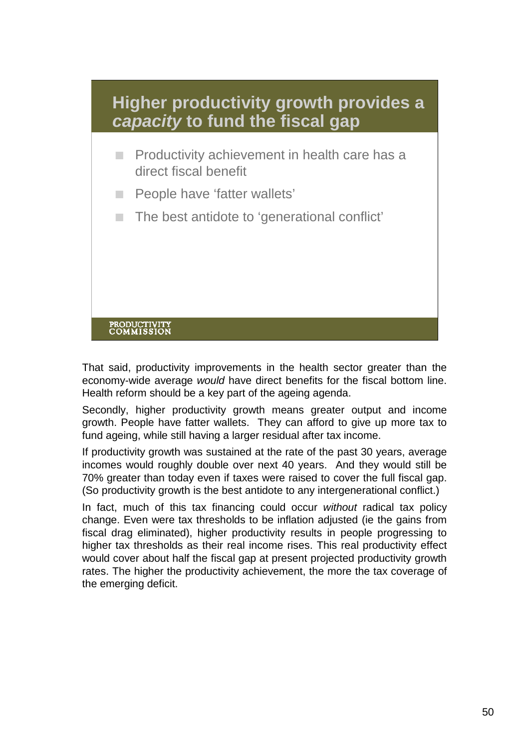

That said, productivity improvements in the health sector greater than the economy-wide average *would* have direct benefits for the fiscal bottom line. Health reform should be a key part of the ageing agenda.

Secondly, higher productivity growth means greater output and income growth. People have fatter wallets. They can afford to give up more tax to fund ageing, while still having a larger residual after tax income.

If productivity growth was sustained at the rate of the past 30 years, average incomes would roughly double over next 40 years. And they would still be 70% greater than today even if taxes were raised to cover the full fiscal gap. (So productivity growth is the best antidote to any intergenerational conflict.)

In fact, much of this tax financing could occur *without* radical tax policy change. Even were tax thresholds to be inflation adjusted (ie the gains from fiscal drag eliminated), higher productivity results in people progressing to higher tax thresholds as their real income rises. This real productivity effect would cover about half the fiscal gap at present projected productivity growth rates. The higher the productivity achievement, the more the tax coverage of the emerging deficit.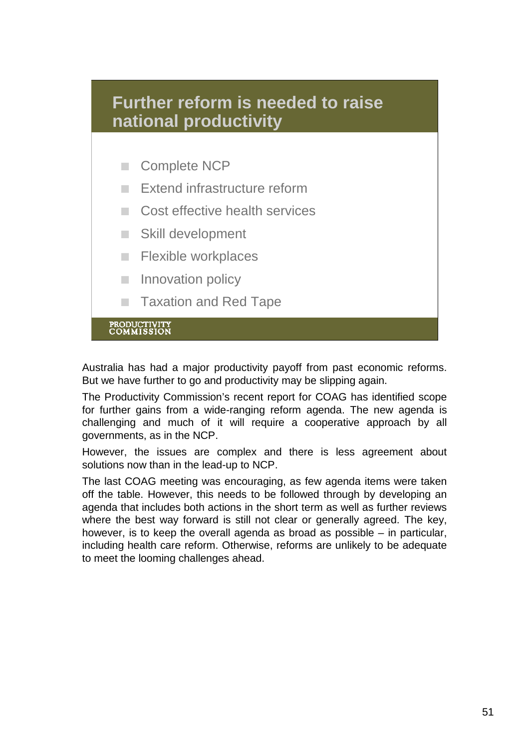

Australia has had a major productivity payoff from past economic reforms. But we have further to go and productivity may be slipping again.

The Productivity Commission's recent report for COAG has identified scope for further gains from a wide-ranging reform agenda. The new agenda is challenging and much of it will require a cooperative approach by all governments, as in the NCP.

However, the issues are complex and there is less agreement about solutions now than in the lead-up to NCP.

The last COAG meeting was encouraging, as few agenda items were taken off the table. However, this needs to be followed through by developing an agenda that includes both actions in the short term as well as further reviews where the best way forward is still not clear or generally agreed. The key, however, is to keep the overall agenda as broad as possible – in particular, including health care reform. Otherwise, reforms are unlikely to be adequate to meet the looming challenges ahead.